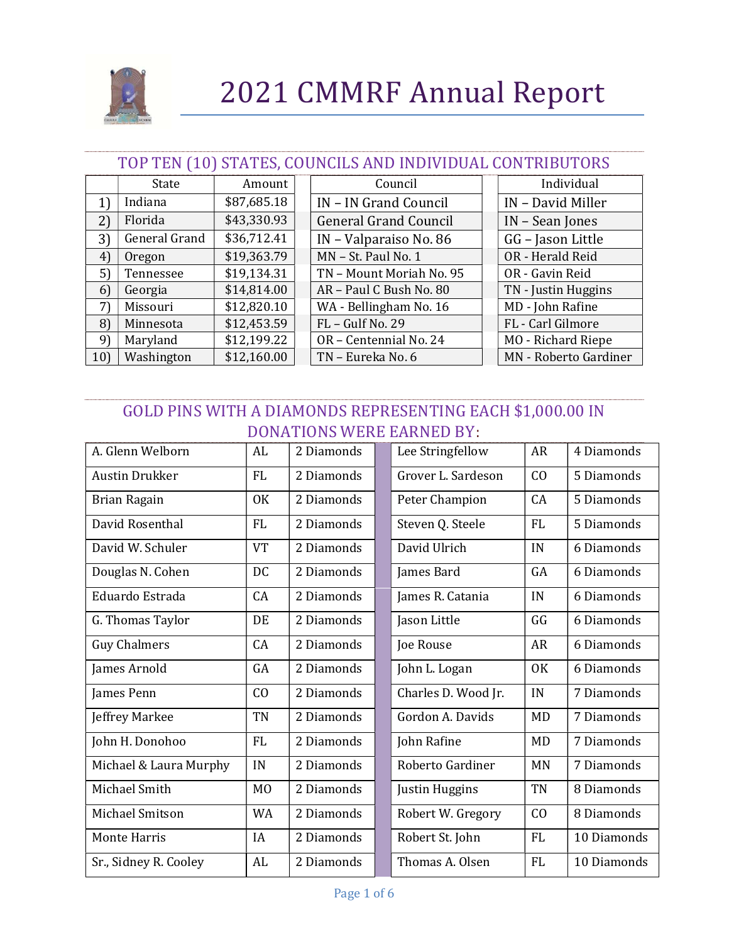

#### TOP TEN (10) STATES, COUNCILS AND INDIVIDUAL CONTRIBUTORS

|     | State         | Amount      | Council                      | Individual                   |
|-----|---------------|-------------|------------------------------|------------------------------|
| 1)  | Indiana       | \$87,685.18 | IN – IN Grand Council        | IN - David Miller            |
| 2)  | Florida       | \$43,330.93 | <b>General Grand Council</b> | IN - Sean Jones              |
| 3)  | General Grand | \$36,712.41 | IN - Valparaiso No. 86       | GG - Jason Little            |
| 4)  | Oregon        | \$19,363.79 | MN - St. Paul No. 1          | OR - Herald Reid             |
| 5)  | Tennessee     | \$19,134.31 | TN - Mount Moriah No. 95     | OR - Gavin Reid              |
| 6)  | Georgia       | \$14,814.00 | AR - Paul C Bush No. 80      | TN - Justin Huggins          |
| 7)  | Missouri      | \$12,820.10 | WA - Bellingham No. 16       | MD - John Rafine             |
| 8)  | Minnesota     | \$12,453.59 | FL - Gulf No. 29             | FL - Carl Gilmore            |
| 9)  | Maryland      | \$12,199.22 | OR - Centennial No. 24       | MO - Richard Riepe           |
| 10) | Washington    | \$12,160.00 | TN - Eureka No. 6            | <b>MN</b> - Roberto Gardiner |

### GOLD PINS WITH A DIAMONDS REPRESENTING EACH \$1,000.00 IN DONATIONS WERE EARNED BY:

| A. Glenn Welborn       | AL             | 2 Diamonds | Lee Stringfellow    | AR        | 4 Diamonds  |
|------------------------|----------------|------------|---------------------|-----------|-------------|
| <b>Austin Drukker</b>  | FL             | 2 Diamonds | Grover L. Sardeson  | CO        | 5 Diamonds  |
| Brian Ragain           | <b>OK</b>      | 2 Diamonds | Peter Champion      | CA        | 5 Diamonds  |
| David Rosenthal        | <b>FL</b>      | 2 Diamonds | Steven Q. Steele    | <b>FL</b> | 5 Diamonds  |
| David W. Schuler       | <b>VT</b>      | 2 Diamonds | David Ulrich        | IN        | 6 Diamonds  |
| Douglas N. Cohen       | DC             | 2 Diamonds | James Bard          | GA        | 6 Diamonds  |
| Eduardo Estrada        | CA             | 2 Diamonds | James R. Catania    | IN        | 6 Diamonds  |
| G. Thomas Taylor       | DE             | 2 Diamonds | Jason Little        | GG        | 6 Diamonds  |
| <b>Guy Chalmers</b>    | CA             | 2 Diamonds | Joe Rouse           | <b>AR</b> | 6 Diamonds  |
| James Arnold           | GA             | 2 Diamonds | John L. Logan       | <b>OK</b> | 6 Diamonds  |
| James Penn             | CO             | 2 Diamonds | Charles D. Wood Jr. | IN        | 7 Diamonds  |
| Jeffrey Markee         | TN             | 2 Diamonds | Gordon A. Davids    | MD        | 7 Diamonds  |
| John H. Donohoo        | FL             | 2 Diamonds | John Rafine         | <b>MD</b> | 7 Diamonds  |
| Michael & Laura Murphy | IN             | 2 Diamonds | Roberto Gardiner    | <b>MN</b> | 7 Diamonds  |
| Michael Smith          | M <sub>0</sub> | 2 Diamonds | Justin Huggins      | TN        | 8 Diamonds  |
| Michael Smitson        | WA             | 2 Diamonds | Robert W. Gregory   | CO        | 8 Diamonds  |
| <b>Monte Harris</b>    | IA             | 2 Diamonds | Robert St. John     | FL.       | 10 Diamonds |
| Sr., Sidney R. Cooley  | AL             | 2 Diamonds | Thomas A. Olsen     | FL        | 10 Diamonds |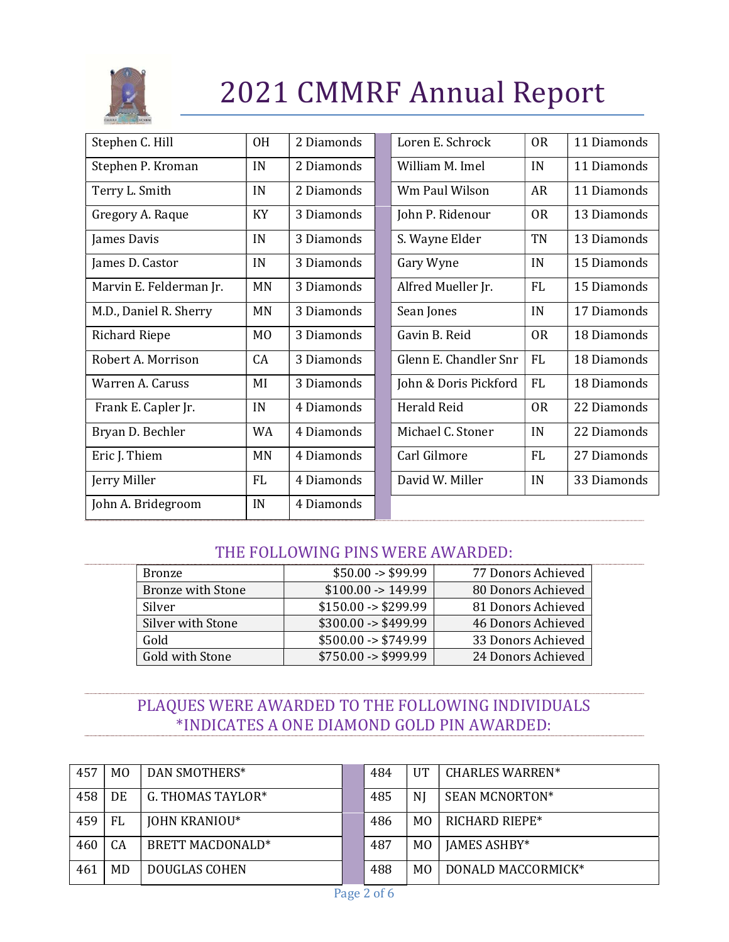

| Stephen C. Hill         | <b>OH</b>      | 2 Diamonds | Loren E. Schrock      | <b>OR</b> | 11 Diamonds |
|-------------------------|----------------|------------|-----------------------|-----------|-------------|
| Stephen P. Kroman       | IN             | 2 Diamonds | William M. Imel       | IN        | 11 Diamonds |
| Terry L. Smith          | IN             | 2 Diamonds | Wm Paul Wilson        | AR        | 11 Diamonds |
| Gregory A. Raque        | KY             | 3 Diamonds | John P. Ridenour      | <b>OR</b> | 13 Diamonds |
| James Davis             | IN             | 3 Diamonds | S. Wayne Elder        | TN        | 13 Diamonds |
| James D. Castor         | IN             | 3 Diamonds | Gary Wyne             | IN        | 15 Diamonds |
| Marvin E. Felderman Jr. | MN             | 3 Diamonds | Alfred Mueller Jr.    | <b>FL</b> | 15 Diamonds |
| M.D., Daniel R. Sherry  | <b>MN</b>      | 3 Diamonds | Sean Jones            | IN        | 17 Diamonds |
| <b>Richard Riepe</b>    | M <sub>0</sub> | 3 Diamonds | Gavin B. Reid         | <b>OR</b> | 18 Diamonds |
| Robert A. Morrison      | CA             | 3 Diamonds | Glenn E. Chandler Snr | <b>FL</b> | 18 Diamonds |
| Warren A. Caruss        | MI             | 3 Diamonds | John & Doris Pickford | <b>FL</b> | 18 Diamonds |
| Frank E. Capler Jr.     | IN             | 4 Diamonds | <b>Herald Reid</b>    | <b>OR</b> | 22 Diamonds |
| Bryan D. Bechler        | <b>WA</b>      | 4 Diamonds | Michael C. Stoner     | IN        | 22 Diamonds |
| Eric J. Thiem           | MN             | 4 Diamonds | Carl Gilmore          | <b>FL</b> | 27 Diamonds |
| Jerry Miller            | <b>FL</b>      | 4 Diamonds | David W. Miller       | IN        | 33 Diamonds |
| John A. Bridegroom      | IN             | 4 Diamonds |                       |           |             |

#### THE FOLLOWING PINS WERE AWARDED:

| Bronze                   | $$50.00 - $99.99$             | 77 Donors Achieved |
|--------------------------|-------------------------------|--------------------|
| <b>Bronze with Stone</b> | $$100.00 \rightarrow 149.99$  | 80 Donors Achieved |
| <b>Silver</b>            | $$150.00 - $299.99$           | 81 Donors Achieved |
| Silver with Stone        | $$300.00 \rightarrow $499.99$ | 46 Donors Achieved |
| Gold                     | $$500.00 \rightarrow $749.99$ | 33 Donors Achieved |
| Gold with Stone          | $$750.00 \rightarrow $999.99$ | 24 Donors Achieved |

### PLAQUES WERE AWARDED TO THE FOLLOWING INDIVIDUALS \*INDICATES A ONE DIAMOND GOLD PIN AWARDED:

| 457 | M <sub>0</sub> | DAN SMOTHERS*        | 484 | UT             | <b>CHARLES WARREN*</b> |
|-----|----------------|----------------------|-----|----------------|------------------------|
| 458 | DE             | G. THOMAS TAYLOR*    | 485 | NI             | <b>SEAN MCNORTON*</b>  |
| 459 | FL             | <b>JOHN KRANIOU*</b> | 486 | M <sub>0</sub> | RICHARD RIEPE*         |
| 460 | CA             | BRETT MACDONALD*     | 487 | M <sub>0</sub> | <b>JAMES ASHBY*</b>    |
| 461 | <b>MD</b>      | DOUGLAS COHEN        | 488 | M <sub>0</sub> | DONALD MACCORMICK*     |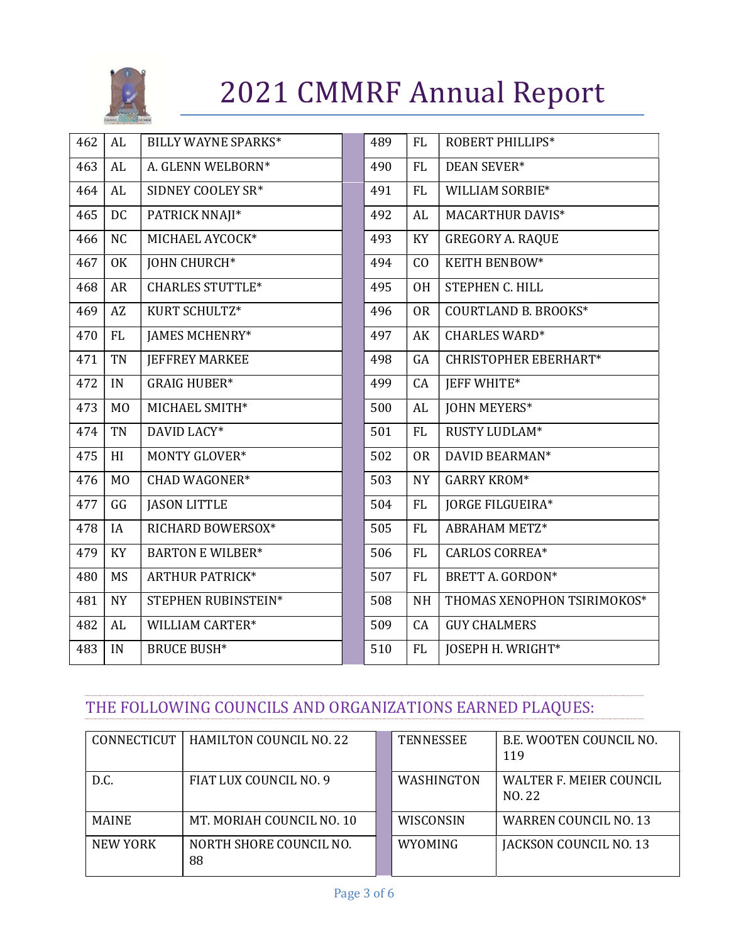

| 462 | AL             | <b>BILLY WAYNE SPARKS*</b> | 489 | <b>FL</b> | ROBERT PHILLIPS*             |
|-----|----------------|----------------------------|-----|-----------|------------------------------|
| 463 | AL             | A. GLENN WELBORN*          | 490 | FL        | <b>DEAN SEVER*</b>           |
| 464 | AL             | SIDNEY COOLEY SR*          | 491 | FL        | WILLIAM SORBIE*              |
| 465 | <b>DC</b>      | PATRICK NNAJI*             | 492 | AL        | <b>MACARTHUR DAVIS*</b>      |
| 466 | N <sub>C</sub> | MICHAEL AYCOCK*            | 493 | KY        | <b>GREGORY A. RAQUE</b>      |
| 467 | 0K             | <b>JOHN CHURCH*</b>        | 494 | CO        | KEITH BENBOW*                |
| 468 | <b>AR</b>      | <b>CHARLES STUTTLE*</b>    | 495 | <b>OH</b> | STEPHEN C. HILL              |
| 469 | AZ             | KURT SCHULTZ*              | 496 | <b>OR</b> | <b>COURTLAND B. BROOKS*</b>  |
| 470 | FL             | <b>JAMES MCHENRY*</b>      | 497 | AK        | <b>CHARLES WARD*</b>         |
| 471 | TN             | <b>JEFFREY MARKEE</b>      | 498 | GA        | <b>CHRISTOPHER EBERHART*</b> |
| 472 | IN             | <b>GRAIG HUBER*</b>        | 499 | CA        | <b>IEFF WHITE*</b>           |
| 473 | M <sub>O</sub> | MICHAEL SMITH*             | 500 | AL        | <b>JOHN MEYERS*</b>          |
| 474 | TN             | DAVID LACY*                | 501 | FL        | RUSTY LUDLAM*                |
| 475 | HI             | <b>MONTY GLOVER*</b>       | 502 | <b>OR</b> | DAVID BEARMAN*               |
| 476 | M <sub>0</sub> | <b>CHAD WAGONER*</b>       | 503 | <b>NY</b> | <b>GARRY KROM*</b>           |
| 477 | GG             | <b>JASON LITTLE</b>        | 504 | FL        | JORGE FILGUEIRA*             |
| 478 | <b>IA</b>      | RICHARD BOWERSOX*          | 505 | <b>FL</b> | <b>ABRAHAM METZ*</b>         |
| 479 | KY             | <b>BARTON E WILBER*</b>    | 506 | FL        | <b>CARLOS CORREA*</b>        |
| 480 | <b>MS</b>      | <b>ARTHUR PATRICK*</b>     | 507 | FL        | BRETT A. GORDON*             |
| 481 | <b>NY</b>      | STEPHEN RUBINSTEIN*        | 508 | <b>NH</b> | THOMAS XENOPHON TSIRIMOKOS*  |
| 482 | AL             | WILLIAM CARTER*            | 509 | CA        | <b>GUY CHALMERS</b>          |
| 483 | IN             | <b>BRUCE BUSH*</b>         | 510 | FL        | JOSEPH H. WRIGHT*            |

### THE FOLLOWING COUNCILS AND ORGANIZATIONS EARNED PLAQUES:

| CONNECTICUT  | <b>HAMILTON COUNCIL NO. 22</b> | <b>TENNESSEE</b>  | B.E. WOOTEN COUNCIL NO.<br>119    |
|--------------|--------------------------------|-------------------|-----------------------------------|
| D.C.         | FIAT LUX COUNCIL NO. 9         | <b>WASHINGTON</b> | WALTER F. MEIER COUNCIL<br>NO. 22 |
| <b>MAINE</b> | MT. MORIAH COUNCIL NO. 10      | <b>WISCONSIN</b>  | <b>WARREN COUNCIL NO. 13</b>      |
| NEW YORK     | NORTH SHORE COUNCIL NO.<br>88  | <b>WYOMING</b>    | JACKSON COUNCIL NO. 13            |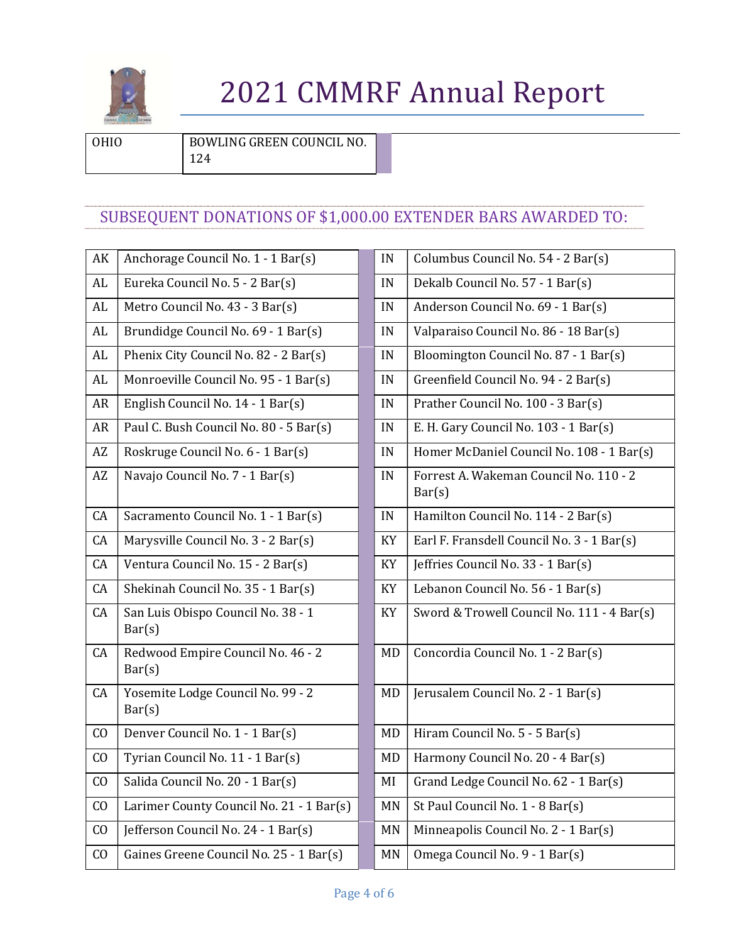

OHIO BOWLING GREEN COUNCIL NO.

124

### SUBSEQUENT DONATIONS OF \$1,000.00 EXTENDER BARS AWARDED TO:

| AK        | Anchorage Council No. 1 - 1 Bar(s)           | IN        | Columbus Council No. 54 - 2 Bar(s)               |
|-----------|----------------------------------------------|-----------|--------------------------------------------------|
| AL        | Eureka Council No. 5 - 2 Bar(s)              | IN        | Dekalb Council No. 57 - 1 Bar(s)                 |
| AL        | Metro Council No. 43 - 3 Bar(s)              | IN        | Anderson Council No. 69 - 1 Bar(s)               |
| AL        | Brundidge Council No. 69 - 1 Bar(s)          | IN        | Valparaiso Council No. 86 - 18 Bar(s)            |
| AL        | Phenix City Council No. 82 - 2 Bar(s)        | IN        | Bloomington Council No. 87 - 1 Bar(s)            |
| AL        | Monroeville Council No. 95 - 1 Bar(s)        | IN        | Greenfield Council No. 94 - 2 Bar(s)             |
| <b>AR</b> | English Council No. 14 - 1 Bar(s)            | IN        | Prather Council No. 100 - 3 Bar(s)               |
| AR        | Paul C. Bush Council No. 80 - 5 Bar(s)       | IN        | E. H. Gary Council No. 103 - 1 Bar(s)            |
| AZ        | Roskruge Council No. 6 - 1 Bar(s)            | IN        | Homer McDaniel Council No. 108 - 1 Bar           |
| AZ        | Navajo Council No. 7 - 1 Bar(s)              | IN        | Forrest A. Wakeman Council No. 110 - 2<br>Bar(s) |
| CA        | Sacramento Council No. 1 - 1 Bar(s)          | IN        | Hamilton Council No. 114 - 2 Bar(s)              |
| CA        | Marysville Council No. 3 - 2 Bar(s)          | KY        | Earl F. Fransdell Council No. 3 - 1 Bar(s)       |
| CA        | Ventura Council No. 15 - 2 Bar(s)            | KY        | Jeffries Council No. 33 - 1 Bar(s)               |
| CA        | Shekinah Council No. 35 - 1 Bar(s)           | KY        | Lebanon Council No. 56 - 1 Bar(s)                |
| CA        | San Luis Obispo Council No. 38 - 1<br>Bar(s) | KY        | Sword & Trowell Council No. 111 - 4 Bar          |
| CA        | Redwood Empire Council No. 46 - 2<br>Bar(s)  | <b>MD</b> | Concordia Council No. 1 - 2 Bar(s)               |
| CA        | Yosemite Lodge Council No. 99 - 2<br>Bar(s)  | <b>MD</b> | Jerusalem Council No. 2 - 1 Bar(s)               |
| CO        | Denver Council No. 1 - 1 Bar(s)              | <b>MD</b> | Hiram Council No. 5 - 5 Bar(s)                   |
| CO        | Tyrian Council No. 11 - 1 Bar(s)             | MD        | Harmony Council No. 20 - 4 Bar(s)                |
| CO        | Salida Council No. 20 - 1 Bar(s)             | MI        | Grand Ledge Council No. 62 - 1 Bar(s)            |
| CO        | Larimer County Council No. 21 - 1 Bar(s)     | <b>MN</b> | St Paul Council No. 1 - 8 Bar(s)                 |
| CO        | Jefferson Council No. 24 - 1 Bar(s)          | <b>MN</b> | Minneapolis Council No. 2 - 1 Bar(s)             |
| CO        | Gaines Greene Council No. 25 - 1 Bar(s)      | <b>MN</b> | Omega Council No. 9 - 1 Bar(s)                   |

| AK              | Anchorage Council No. 1 - 1 Bar(s)           | IN        | Columbus Council No. 54 - 2 Bar(s)               |
|-----------------|----------------------------------------------|-----------|--------------------------------------------------|
| AL              | Eureka Council No. 5 - 2 Bar(s)              | IN        | Dekalb Council No. 57 - 1 Bar(s)                 |
| AL              | Metro Council No. 43 - 3 Bar(s)              | IN        | Anderson Council No. 69 - 1 Bar(s)               |
| AL              | Brundidge Council No. 69 - 1 Bar(s)          | IN        | Valparaiso Council No. 86 - 18 Bar(s)            |
| AL              | Phenix City Council No. 82 - 2 Bar(s)        | IN        | Bloomington Council No. 87 - 1 Bar(s)            |
| AL              | Monroeville Council No. 95 - 1 Bar(s)        | IN        | Greenfield Council No. 94 - 2 Bar(s)             |
| AR              | English Council No. 14 - 1 Bar(s)            | IN        | Prather Council No. 100 - 3 Bar(s)               |
| AR              | Paul C. Bush Council No. 80 - 5 Bar(s)       | IN        | E. H. Gary Council No. 103 - 1 Bar(s)            |
| AZ              | Roskruge Council No. 6 - 1 Bar(s)            | IN        | Homer McDaniel Council No. 108 - 1 Bar(s)        |
| AZ              | Navajo Council No. 7 - 1 Bar(s)              | IN        | Forrest A. Wakeman Council No. 110 - 2<br>Bar(s) |
| CA              | Sacramento Council No. 1 - 1 Bar(s)          | IN        | Hamilton Council No. 114 - 2 Bar(s)              |
| CA              | Marysville Council No. 3 - 2 Bar(s)          | KY        | Earl F. Fransdell Council No. 3 - 1 Bar(s)       |
| CA              | Ventura Council No. 15 - 2 Bar(s)            | KY        | Jeffries Council No. 33 - 1 Bar(s)               |
| CA              | Shekinah Council No. 35 - 1 Bar(s)           | KY        | Lebanon Council No. 56 - 1 Bar(s)                |
| CA              | San Luis Obispo Council No. 38 - 1<br>Bar(s) | KY        | Sword & Trowell Council No. 111 - 4 Bar(s)       |
| CA              | Redwood Empire Council No. 46 - 2<br>Bar(s)  | MD        | Concordia Council No. 1 - 2 Bar(s)               |
| CA              | Yosemite Lodge Council No. 99 - 2<br>Bar(s)  | <b>MD</b> | Jerusalem Council No. 2 - 1 Bar(s)               |
| $\overline{C}O$ | Denver Council No. 1 - 1 Bar(s)              | <b>MD</b> | Hiram Council No. 5 - 5 Bar(s)                   |
| CO              | Tyrian Council No. 11 - 1 Bar(s)             | <b>MD</b> | Harmony Council No. 20 - 4 Bar(s)                |
| $\overline{C}O$ | Salida Council No. 20 - 1 Bar(s)             | MI        | Grand Ledge Council No. 62 - 1 Bar(s)            |
| $\overline{C}O$ | Larimer County Council No. 21 - 1 Bar(s)     | <b>MN</b> | St Paul Council No. 1 - 8 Bar(s)                 |
| $\overline{C}O$ | Jefferson Council No. 24 - 1 Bar(s)          | <b>MN</b> | Minneapolis Council No. 2 - 1 Bar(s)             |
| CO.             | Gaines Greene Council No. 25 - 1 Rar(s)      | <b>MN</b> | Omega Council No. 9 - 1 Rar(s)                   |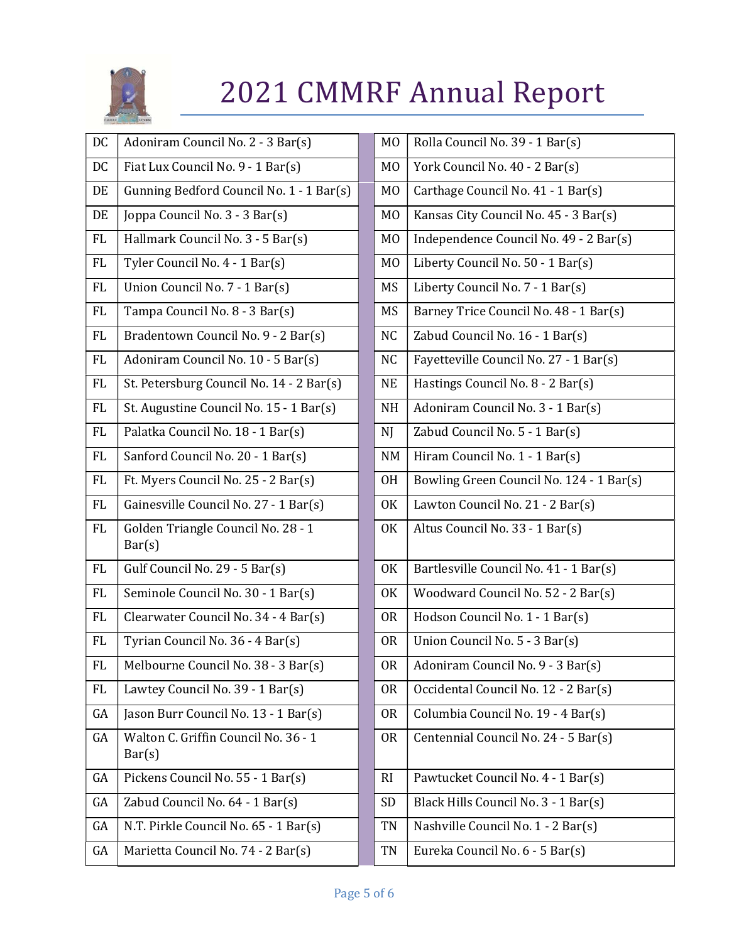

| DC        | Adoniram Council No. 2 - 3 Bar(s)              | M <sub>0</sub> | Rolla Council No. 39 - 1 Bar(s)          |
|-----------|------------------------------------------------|----------------|------------------------------------------|
| DC        | Fiat Lux Council No. 9 - 1 Bar(s)              | M <sub>0</sub> | York Council No. 40 - 2 Bar(s)           |
| DE        | Gunning Bedford Council No. 1 - 1 Bar(s)       | M <sub>0</sub> | Carthage Council No. 41 - 1 Bar(s)       |
| DE        | Joppa Council No. 3 - 3 Bar(s)                 | M <sub>0</sub> | Kansas City Council No. 45 - 3 Bar(s)    |
| <b>FL</b> | Hallmark Council No. 3 - 5 Bar(s)              | M <sub>0</sub> | Independence Council No. 49 - 2 Bar(s)   |
| <b>FL</b> | Tyler Council No. 4 - 1 Bar(s)                 | M <sub>0</sub> | Liberty Council No. 50 - 1 Bar(s)        |
| FL        | Union Council No. 7 - 1 Bar(s)                 | MS             | Liberty Council No. 7 - 1 Bar(s)         |
| <b>FL</b> | Tampa Council No. 8 - 3 Bar(s)                 | MS             | Barney Trice Council No. 48 - 1 Bar(s)   |
| <b>FL</b> | Bradentown Council No. 9 - 2 Bar(s)            | <b>NC</b>      | Zabud Council No. 16 - 1 Bar(s)          |
| FL        | Adoniram Council No. 10 - 5 Bar(s)             | N <sub>C</sub> | Fayetteville Council No. 27 - 1 Bar(s)   |
| FL        | St. Petersburg Council No. 14 - 2 Bar(s)       | <b>NE</b>      | Hastings Council No. 8 - 2 Bar(s)        |
| FL        | St. Augustine Council No. 15 - 1 Bar(s)        | <b>NH</b>      | Adoniram Council No. 3 - 1 Bar(s)        |
| <b>FL</b> | Palatka Council No. 18 - 1 Bar(s)              | NJ             | Zabud Council No. 5 - 1 Bar(s)           |
| FL        | Sanford Council No. 20 - 1 Bar(s)              | <b>NM</b>      | Hiram Council No. 1 - 1 Bar(s)           |
| <b>FL</b> | Ft. Myers Council No. 25 - 2 Bar(s)            | <b>OH</b>      | Bowling Green Council No. 124 - 1 Bar(s) |
| <b>FL</b> | Gainesville Council No. 27 - 1 Bar(s)          | 0K             | Lawton Council No. 21 - 2 Bar(s)         |
| <b>FL</b> | Golden Triangle Council No. 28 - 1<br>Bar(s)   | <b>OK</b>      | Altus Council No. 33 - 1 Bar(s)          |
| <b>FL</b> | Gulf Council No. 29 - 5 Bar(s)                 | 0K             | Bartlesville Council No. 41 - 1 Bar(s)   |
| <b>FL</b> | Seminole Council No. 30 - 1 Bar(s)             | <b>OK</b>      | Woodward Council No. 52 - 2 Bar(s)       |
| FL        | Clearwater Council No. 34 - 4 Bar(s)           | 0 <sub>R</sub> | Hodson Council No. 1 - 1 Bar(s)          |
| <b>FL</b> | Tyrian Council No. 36 - 4 Bar(s)               | 0 <sub>R</sub> | Union Council No. 5 - 3 Bar(s)           |
| $\rm FL$  | Melbourne Council No. 38 - 3 Bar(s)            | <b>OR</b>      | Adoniram Council No. 9 - 3 Bar(s)        |
| FL        | Lawtey Council No. 39 - 1 Bar(s)               | <b>OR</b>      | Occidental Council No. 12 - 2 Bar(s)     |
| GA        | Jason Burr Council No. 13 - 1 Bar(s)           | 0 <sub>R</sub> | Columbia Council No. 19 - 4 Bar(s)       |
| GA        | Walton C. Griffin Council No. 36 - 1<br>Bar(s) | 0R             | Centennial Council No. 24 - 5 Bar(s)     |
| GA        | Pickens Council No. 55 - 1 Bar(s)              | RI             | Pawtucket Council No. 4 - 1 Bar(s)       |
| GA        | Zabud Council No. 64 - 1 Bar(s)                | <b>SD</b>      | Black Hills Council No. 3 - 1 Bar(s)     |
| GA        | N.T. Pirkle Council No. 65 - 1 Bar(s)          | TN             | Nashville Council No. 1 - 2 Bar(s)       |
| GA        | Marietta Council No. 74 - 2 Bar(s)             | TN             | Eureka Council No. 6 - 5 Bar(s)          |

| M <sub>O</sub> | Rolla Council No. 39 - 1 Bar(s)          |
|----------------|------------------------------------------|
| M <sub>0</sub> | York Council No. 40 - 2 Bar(s)           |
| M <sub>0</sub> | Carthage Council No. 41 - 1 Bar(s)       |
| M <sub>0</sub> | Kansas City Council No. 45 - 3 Bar(s)    |
| M <sub>0</sub> | Independence Council No. 49 - 2 Bar(s)   |
| M <sub>0</sub> | Liberty Council No. 50 - 1 Bar(s)        |
| MS             | Liberty Council No. 7 - 1 Bar(s)         |
| <b>MS</b>      | Barney Trice Council No. 48 - 1 Bar(s)   |
| N <sub>C</sub> | Zabud Council No. 16 - 1 Bar(s)          |
| N <sub>C</sub> | Fayetteville Council No. 27 - 1 Bar(s)   |
| <b>NE</b>      | Hastings Council No. 8 - 2 Bar(s)        |
| <b>NH</b>      | Adoniram Council No. 3 - 1 Bar(s)        |
| NJ             | Zabud Council No. 5 - 1 Bar(s)           |
| <b>NM</b>      | Hiram Council No. 1 - 1 Bar(s)           |
| 0H             | Bowling Green Council No. 124 - 1 Bar(s) |
| 0K             | Lawton Council No. 21 - 2 Bar(s)         |
| 0K             | Altus Council No. 33 - 1 Bar(s)          |
| 0K             | Bartlesville Council No. 41 - 1 Bar(s)   |
| 0K             | Woodward Council No. 52 - 2 Bar(s)       |
| 0 <sub>R</sub> | Hodson Council No. 1 - 1 Bar(s)          |
| 0R             | Union Council No. 5 - 3 Bar(s)           |
| 0R             | Adoniram Council No. 9 - 3 Bar(s)        |
| 0R             | Occidental Council No. 12 - 2 Bar(s)     |
| 0R             | Columbia Council No. 19 - 4 Bar(s)       |
| <b>OR</b>      | Centennial Council No. 24 - 5 Bar(s)     |
| RI             | Pawtucket Council No. 4 - 1 Bar(s)       |
| SD             | Black Hills Council No. 3 - 1 Bar(s)     |
| TN             | Nashville Council No. 1 - 2 Bar(s)       |
| TN             | Eureka Council No. 6 - 5 Bar(s)          |